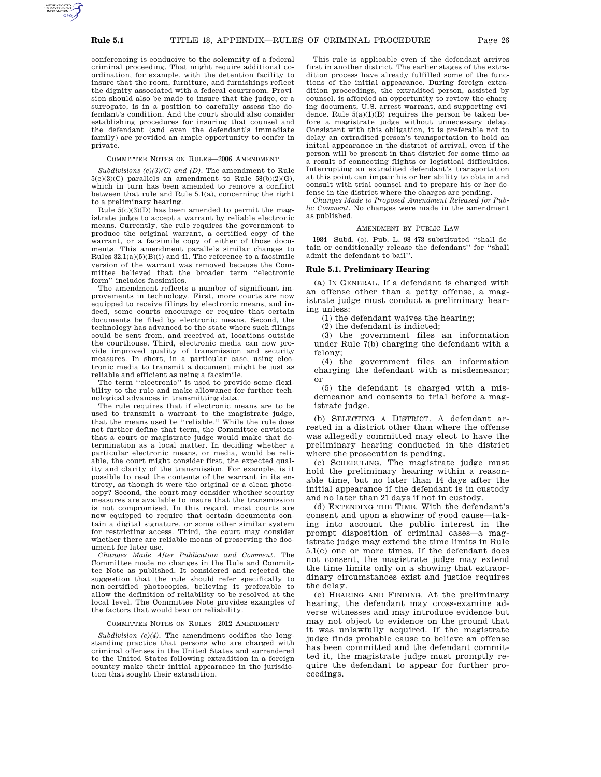conferencing is conducive to the solemnity of a federal criminal proceeding. That might require additional coordination, for example, with the detention facility to insure that the room, furniture, and furnishings reflect the dignity associated with a federal courtroom. Provision should also be made to insure that the judge, or a surrogate, is in a position to carefully assess the defendant's condition. And the court should also consider establishing procedures for insuring that counsel and the defendant (and even the defendant's immediate family) are provided an ample opportunity to confer in private.

### COMMITTEE NOTES ON RULES—2006 AMENDMENT

*Subdivisions (c)(3)(C) and (D).* The amendment to Rule  $5(c)(3)(C)$  parallels an amendment to Rule  $58(b)(2)(G)$ , which in turn has been amended to remove a conflict between that rule and Rule 5.1(a), concerning the right to a preliminary hearing.

Rule  $5(c)(3)(D)$  has been amended to permit the magistrate judge to accept a warrant by reliable electronic means. Currently, the rule requires the government to produce the original warrant, a certified copy of the warrant, or a facsimile copy of either of those documents. This amendment parallels similar changes to Rules  $32.1(a)(5)(B)(i)$  and 41. The reference to a facsimile version of the warrant was removed because the Committee believed that the broader term ''electronic form'' includes facsimiles.

The amendment reflects a number of significant improvements in technology. First, more courts are now equipped to receive filings by electronic means, and indeed, some courts encourage or require that certain documents be filed by electronic means. Second, the technology has advanced to the state where such filings could be sent from, and received at, locations outside the courthouse. Third, electronic media can now provide improved quality of transmission and security measures. In short, in a particular case, using electronic media to transmit a document might be just as reliable and efficient as using a facsimile.

The term ''electronic'' is used to provide some flexibility to the rule and make allowance for further technological advances in transmitting data.

The rule requires that if electronic means are to be used to transmit a warrant to the magistrate judge, that the means used be ''reliable.'' While the rule does not further define that term, the Committee envisions that a court or magistrate judge would make that determination as a local matter. In deciding whether a particular electronic means, or media, would be reliable, the court might consider first, the expected quality and clarity of the transmission. For example, is it possible to read the contents of the warrant in its entirety, as though it were the original or a clean photocopy? Second, the court may consider whether security measures are available to insure that the transmission is not compromised. In this regard, most courts are now equipped to require that certain documents contain a digital signature, or some other similar system for restricting access. Third, the court may consider whether there are reliable means of preserving the document for later use.

*Changes Made After Publication and Comment.* The Committee made no changes in the Rule and Committee Note as published. It considered and rejected the suggestion that the rule should refer specifically to non-certified photocopies, believing it preferable to allow the definition of reliability to be resolved at the local level. The Committee Note provides examples of the factors that would bear on reliability.

#### COMMITTEE NOTES ON RULES—2012 AMENDMENT

*Subdivision (c)(4).* The amendment codifies the longstanding practice that persons who are charged with criminal offenses in the United States and surrendered to the United States following extradition in a foreign country make their initial appearance in the jurisdiction that sought their extradition.

This rule is applicable even if the defendant arrives first in another district. The earlier stages of the extradition process have already fulfilled some of the functions of the initial appearance. During foreign extradition proceedings, the extradited person, assisted by counsel, is afforded an opportunity to review the charging document, U.S. arrest warrant, and supporting evidence. Rule  $5(a)(1)(B)$  requires the person be taken before a magistrate judge without unnecessary delay. Consistent with this obligation, it is preferable not to delay an extradited person's transportation to hold an initial appearance in the district of arrival, even if the person will be present in that district for some time as a result of connecting flights or logistical difficulties. Interrupting an extradited defendant's transportation at this point can impair his or her ability to obtain and consult with trial counsel and to prepare his or her defense in the district where the charges are pending.

*Changes Made to Proposed Amendment Released for Public Comment.* No changes were made in the amendment as published.

#### AMENDMENT BY PUBLIC LAW

1984—Subd. (c). Pub. L. 98–473 substituted ''shall detain or conditionally release the defendant'' for ''shall admit the defendant to bail''.

### **Rule 5.1. Preliminary Hearing**

(a) IN GENERAL. If a defendant is charged with an offense other than a petty offense, a magistrate judge must conduct a preliminary hearing unless:

(1) the defendant waives the hearing;

(2) the defendant is indicted;

(3) the government files an information under Rule 7(b) charging the defendant with a felony;

(4) the government files an information charging the defendant with a misdemeanor; or

(5) the defendant is charged with a misdemeanor and consents to trial before a magistrate judge.

(b) SELECTING A DISTRICT. A defendant arrested in a district other than where the offense was allegedly committed may elect to have the preliminary hearing conducted in the district where the prosecution is pending.

(c) SCHEDULING. The magistrate judge must hold the preliminary hearing within a reasonable time, but no later than 14 days after the initial appearance if the defendant is in custody and no later than 21 days if not in custody.

(d) EXTENDING THE TIME. With the defendant's consent and upon a showing of good cause—taking into account the public interest in the prompt disposition of criminal cases—a magistrate judge may extend the time limits in Rule 5.1(c) one or more times. If the defendant does not consent, the magistrate judge may extend the time limits only on a showing that extraordinary circumstances exist and justice requires the delay.

(e) HEARING AND FINDING. At the preliminary hearing, the defendant may cross-examine adverse witnesses and may introduce evidence but may not object to evidence on the ground that it was unlawfully acquired. If the magistrate judge finds probable cause to believe an offense has been committed and the defendant committed it, the magistrate judge must promptly require the defendant to appear for further proceedings.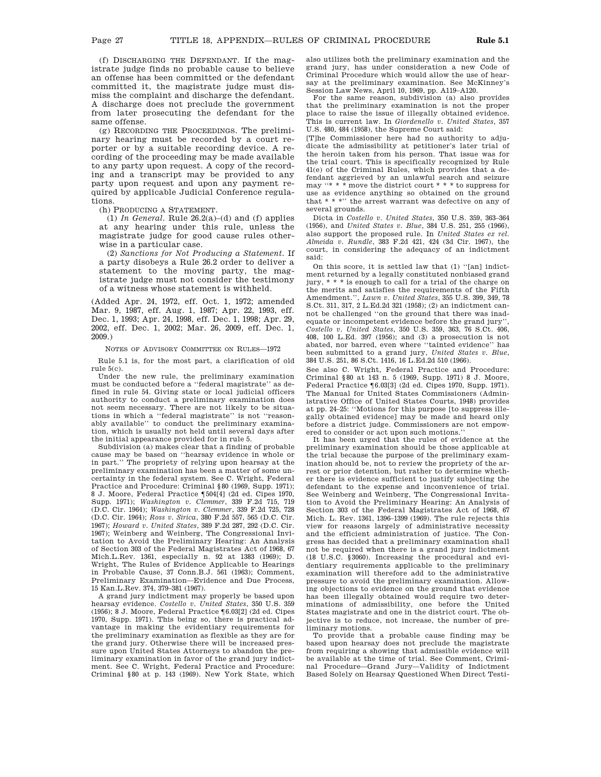(f) DISCHARGING THE DEFENDANT. If the magistrate judge finds no probable cause to believe an offense has been committed or the defendant committed it, the magistrate judge must dismiss the complaint and discharge the defendant. A discharge does not preclude the government from later prosecuting the defendant for the same offense.

(g) RECORDING THE PROCEEDINGS. The preliminary hearing must be recorded by a court reporter or by a suitable recording device. A recording of the proceeding may be made available to any party upon request. A copy of the recording and a transcript may be provided to any party upon request and upon any payment required by applicable Judicial Conference regulations.

(h) PRODUCING A STATEMENT.

(1)  $In General.$  Rule  $26.2(a)$ –(d) and (f) applies at any hearing under this rule, unless the magistrate judge for good cause rules otherwise in a particular case.

(2) *Sanctions for Not Producing a Statement.* If a party disobeys a Rule 26.2 order to deliver a statement to the moving party, the magistrate judge must not consider the testimony of a witness whose statement is withheld.

(Added Apr. 24, 1972, eff. Oct. 1, 1972; amended Mar. 9, 1987, eff. Aug. 1, 1987; Apr. 22, 1993, eff. Dec. 1, 1993; Apr. 24, 1998, eff. Dec. 1, 1998; Apr. 29, 2002, eff. Dec. 1, 2002; Mar. 26, 2009, eff. Dec. 1, 2009.)

NOTES OF ADVISORY COMMITTEE ON RULES—1972

Rule 5.1 is, for the most part, a clarification of old rule 5(c).

Under the new rule, the preliminary examination must be conducted before a ''federal magistrate'' as defined in rule 54. Giving state or local judicial officers authority to conduct a preliminary examination does not seem necessary. There are not likely to be situations in which a ''federal magistrate'' is not ''reasonably available'' to conduct the preliminary examination, which is usually not held until several days after the initial appearance provided for in rule 5.

Subdivision (a) makes clear that a finding of probable cause may be based on ''hearsay evidence in whole or in part.'' The propriety of relying upon hearsay at the preliminary examination has been a matter of some uncertainty in the federal system. See C. Wright, Federal Practice and Procedure: Criminal §80 (1969, Supp. 1971); 8 J. Moore, Federal Practice ¶504[4] (2d ed. Cipes 1970, Supp. 1971); *Washington v. Clemmer*, 339 F.2d 715, 719 (D.C. Cir. 1964); *Washington v. Clemmer*, 339 F.2d 725, 728 (D.C. Cir. 1964); *Ross v. Sirica*, 380 F.2d 557, 565 (D.C. Cir. 1967); *Howard v. United States*, 389 F.2d 287, 292 (D.C. Cir. 1967); Weinberg and Weinberg, The Congressional Invitation to Avoid the Preliminary Hearing: An Analysis of Section 303 of the Federal Magistrates Act of 1968, 67 Mich.L.Rev. 1361, especially n. 92 at 1383 (1969); D. Wright, The Rules of Evidence Applicable to Hearings in Probable Cause, 37 Conn.B.J. 561 (1963); Comment, Preliminary Examination—Evidence and Due Process, 15 Kan.L.Rev. 374, 379–381 (1967).

A grand jury indictment may properly be based upon hearsay evidence. *Costello v. United States*, 350 U.S. 359 (1956); 8 J. Moore, Federal Practice ¶6.03[2] (2d ed. Cipes 1970, Supp. 1971). This being so, there is practical advantage in making the evidentiary requirements for the preliminary examination as flexible as they are for the grand jury. Otherwise there will be increased pressure upon United States Attorneys to abandon the preliminary examination in favor of the grand jury indictment. See C. Wright, Federal Practice and Procedure: Criminal §80 at p. 143 (1969). New York State, which also utilizes both the preliminary examination and the grand jury, has under consideration a new Code of Criminal Procedure which would allow the use of hearsay at the preliminary examination. See McKinney's

Session Law News, April 10, 1969, pp. A119–A120. For the same reason, subdivision (a) also provides that the preliminary examination is not the proper place to raise the issue of illegally obtained evidence. This is current law. In *Giordenello v. United States*, 357 U.S. 480, 484 (1958), the Supreme Court said:

[T]he Commissioner here had no authority to adjudicate the admissibility at petitioner's later trial of the heroin taken from his person. That issue was for the trial court. This is specifically recognized by Rule 41(e) of the Criminal Rules, which provides that a defendant aggrieved by an unlawful search and seizure may ''\* \* \* move the district court \* \* \* to suppress for use as evidence anything so obtained on the ground that \* \* \*'' the arrest warrant was defective on any of several grounds.

Dicta in *Costello v. United States*, 350 U.S. 359, 363–364 (1956), and *United States v. Blue*, 384 U.S. 251, 255 (1966), also support the proposed rule. In *United States ex rel. Almeida v. Rundle*, 383 F.2d 421, 424 (3d Cir. 1967), the court, in considering the adequacy of an indictment said:

On this score, it is settled law that (1) ''[an] indictment returned by a legally constituted nonbiased grand jury, \* \* \* is enough to call for a trial of the charge on the merits and satisfies the requirements of the Fifth Amendment.'', *Lawn v. United States*, 355 U.S. 399, 349, 78 S.Ct. 311, 317, 2 L.Ed.2d 321 (1958); (2) an indictment cannot be challenged ''on the ground that there was inadequate or incompetent evidence before the grand jury' *Costello v. United States*, 350 U.S. 359, 363, 76 S.Ct. 406, 408, 100 L.Ed. 397 (1956); and (3) a prosecution is not abated, nor barred, even where ''tainted evidence'' has been submitted to a grand jury, *United States v. Blue*, 384 U.S. 251, 86 S.Ct. 1416, 16 L.Ed.2d 510 (1966).

See also C. Wright, Federal Practice and Procedure: Criminal §80 at 143 n. 5 (1969, Supp. 1971) 8 J. Moore, Federal Practice ¶6.03[3] (2d ed. Cipes 1970, Supp. 1971). The Manual for United States Commissioners (Administrative Office of United States Courts, 1948) provides at pp. 24–25: ''Motions for this purpose [to suppress illegally obtained evidence] may be made and heard only before a district judge. Commissioners are not empowered to consider or act upon such motions.''

It has been urged that the rules of evidence at the preliminary examination should be those applicable at the trial because the purpose of the preliminary examination should be, not to review the propriety of the arrest or prior detention, but rather to determine whether there is evidence sufficient to justify subjecting the defendant to the expense and inconvenience of trial. See Weinberg and Weinberg, The Congressional Invitation to Avoid the Preliminary Hearing: An Analysis of Section 303 of the Federal Magistrates Act of 1968, 67 Mich. L. Rev. 1361, 1396–1399 (1969). The rule rejects this view for reasons largely of administrative necessity and the efficient administration of justice. The Congress has decided that a preliminary examination shall not be required when there is a grand jury indictment (18 U.S.C. §3060). Increasing the procedural and evidentiary requirements applicable to the preliminary examination will therefore add to the administrative pressure to avoid the preliminary examination. Allowing objections to evidence on the ground that evidence has been illegally obtained would require two determinations of admissibility, one before the United States magistrate and one in the district court. The objective is to reduce, not increase, the number of preliminary motions.

To provide that a probable cause finding may be based upon hearsay does not preclude the magistrate from requiring a showing that admissible evidence will be available at the time of trial. See Comment, Criminal Procedure—Grand Jury—Validity of Indictment Based Solely on Hearsay Questioned When Direct Testi-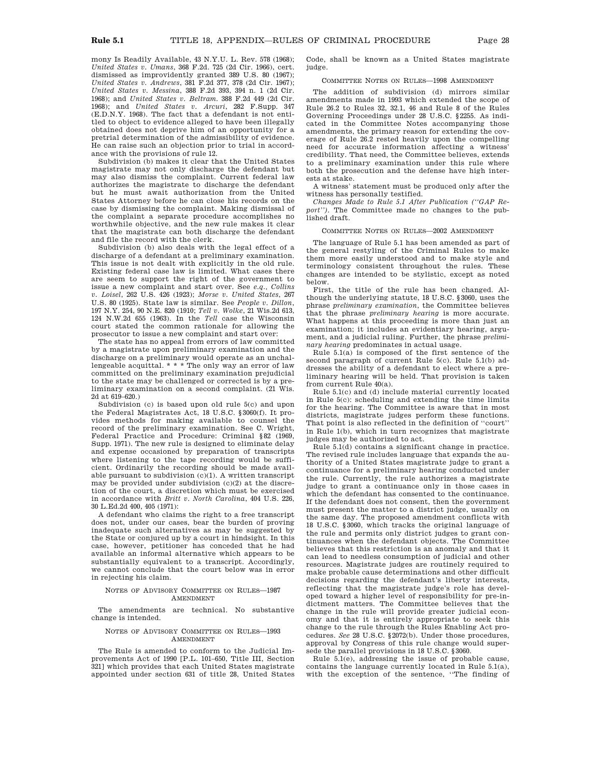mony Is Readily Available, 43 N.Y.U. L. Rev. 578 (1968); *United States v. Umans*, 368 F.2d. 725 (2d Cir. 1966), cert. dismissed as improvidently granted 389 U.S. 80 (1967); *United States v. Andrews*, 381 F.2d 377, 378 (2d Cir. 1967); *United States v. Messina*, 388 F.2d 393, 394 n. 1 (2d Cir. 1968); and *United States v. Beltram*. 388 F.2d 449 (2d Cir. 1968); and *United States v. Arcuri*, 282 F.Supp. 347 (E.D.N.Y. 1968). The fact that a defendant is not entitled to object to evidence alleged to have been illegally obtained does not deprive him of an opportunity for a pretrial determination of the admissibility of evidence. He can raise such an objection prior to trial in accordance with the provisions of rule 12.

Subdivision (b) makes it clear that the United States magistrate may not only discharge the defendant but may also dismiss the complaint. Current federal law authorizes the magistrate to discharge the defendant but he must await authorization from the United States Attorney before he can close his records on the case by dismissing the complaint. Making dismissal of the complaint a separate procedure accomplishes no worthwhile objective, and the new rule makes it clear that the magistrate can both discharge the defendant and file the record with the clerk.

Subdivision (b) also deals with the legal effect of a discharge of a defendant at a preliminary examination. This issue is not dealt with explicitly in the old rule. Existing federal case law is limited. What cases there are seem to support the right of the government to issue a new complaint and start over. See *e.q., Collins v. Loisel*, 262 U.S. 426 (1923); *Morse v. United States*, 267 U.S. 80 (1925). State law is similar. See *People v. Dillon*, 197 N.Y. 254, 90 N.E. 820 (1910; *Tell v. Wolke*, 21 Wis.2d 613, 124 N.W.2d 655 (1963). In the *Tell* case the Wisconsin court stated the common rationale for allowing the prosecutor to issue a new complaint and start over:

The state has no appeal from errors of law committed by a magistrate upon preliminary examination and the discharge on a preliminary would operate as an unchallengeable acquittal. \* \* \* The only way an error of law committed on the preliminary examination prejudicial to the state may be challenged or corrected is by a preliminary examination on a second complaint. (21 Wis. 2d at 619–620.)

Subdivision (c) is based upon old rule 5(c) and upon the Federal Magistrates Act, 18 U.S.C. §3060(f). It provides methods for making available to counsel the record of the preliminary examination. See C. Wright, Federal Practice and Procedure: Criminal §82 (1969, Supp. 1971). The new rule is designed to eliminate delay and expense occasioned by preparation of transcripts where listening to the tape recording would be sufficient. Ordinarily the recording should be made available pursuant to subdivision (c)(1). A written transcript may be provided under subdivision (c)(2) at the discretion of the court, a discretion which must be exercised in accordance with *Britt v. North Carolina*, 404 U.S. 226, 30 L.Ed.2d 400, 405 (1971):

A defendant who claims the right to a free transcript does not, under our cases, bear the burden of proving inadequate such alternatives as may be suggested by the State or conjured up by a court in hindsight. In this case, however, petitioner has conceded that he had available an informal alternative which appears to be substantially equivalent to a transcript. Accordingly, we cannot conclude that the court below was in error in rejecting his claim.

#### NOTES OF ADVISORY COMMITTEE ON RULES—1987 AMENDMENT

The amendments are technical. No substantive change is intended.

#### NOTES OF ADVISORY COMMITTEE ON RULES—1993 AMENDMENT

The Rule is amended to conform to the Judicial Improvements Act of 1990 [P.L. 101–650, Title III, Section 321] which provides that each United States magistrate appointed under section 631 of title 28, United States Code, shall be known as a United States magistrate judge.

# COMMITTEE NOTES ON RULES—1998 AMENDMENT

The addition of subdivision (d) mirrors similar amendments made in 1993 which extended the scope of Rule 26.2 to Rules 32, 32.1, 46 and Rule 8 of the Rules Governing Proceedings under 28 U.S.C. §2255. As indicated in the Committee Notes accompanying those amendments, the primary reason for extending the coverage of Rule 26.2 rested heavily upon the compelling need for accurate information affecting a witness' credibility. That need, the Committee believes, extends to a preliminary examination under this rule where both the prosecution and the defense have high interests at stake.

A witness' statement must be produced only after the witness has personally testified.

*Changes Made to Rule 5.1 After Publication (''GAP Report'')*. The Committee made no changes to the published draft.

### COMMITTEE NOTES ON RULES—2002 AMENDMENT

The language of Rule 5.1 has been amended as part of the general restyling of the Criminal Rules to make them more easily understood and to make style and terminology consistent throughout the rules. These changes are intended to be stylistic, except as noted below.

First, the title of the rule has been changed. Although the underlying statute, 18 U.S.C. §3060, uses the phrase *preliminary examination*, the Committee believes that the phrase *preliminary hearing* is more accurate. What happens at this proceeding is more than just an examination; it includes an evidentiary hearing, argument, and a judicial ruling. Further, the phrase *preliminary hearing* predominates in actual usage.

Rule 5.1(a) is composed of the first sentence of the second paragraph of current Rule 5(c). Rule 5.1(b) addresses the ability of a defendant to elect where a preliminary hearing will be held. That provision is taken from current Rule 40(a).

Rule 5.1(c) and (d) include material currently located in Rule 5(c): scheduling and extending the time limits for the hearing. The Committee is aware that in most districts, magistrate judges perform these functions. That point is also reflected in the definition of ''court'' in Rule 1(b), which in turn recognizes that magistrate judges may be authorized to act.

Rule 5.1(d) contains a significant change in practice. The revised rule includes language that expands the authority of a United States magistrate judge to grant a continuance for a preliminary hearing conducted under the rule. Currently, the rule authorizes a magistrate judge to grant a continuance only in those cases in which the defendant has consented to the continuance. If the defendant does not consent, then the government must present the matter to a district judge, usually on the same day. The proposed amendment conflicts with 18 U.S.C. §3060, which tracks the original language of the rule and permits only district judges to grant continuances when the defendant objects. The Committee believes that this restriction is an anomaly and that it can lead to needless consumption of judicial and other resources. Magistrate judges are routinely required to make probable cause determinations and other difficult decisions regarding the defendant's liberty interests, reflecting that the magistrate judge's role has developed toward a higher level of responsibility for pre-indictment matters. The Committee believes that the change in the rule will provide greater judicial economy and that it is entirely appropriate to seek this change to the rule through the Rules Enabling Act procedures. *See* 28 U.S.C. §2072(b). Under those procedures, approval by Congress of this rule change would supersede the parallel provisions in 18 U.S.C. §3060.

Rule 5.1(e), addressing the issue of probable cause, contains the language currently located in Rule 5.1(a), with the exception of the sentence, ''The finding of